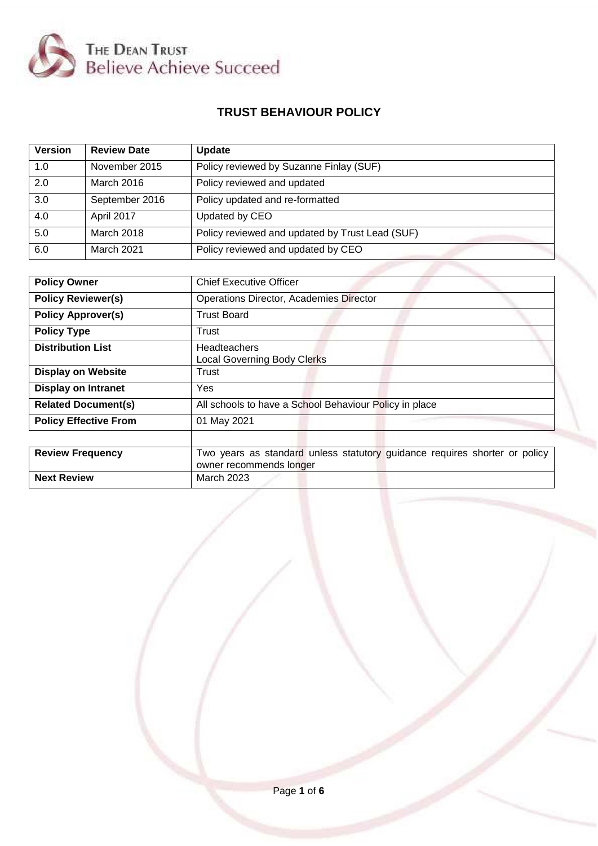

# **TRUST BEHAVIOUR POLICY**

| <b>Version</b> | <b>Review Date</b> | <b>Update</b>                                   |
|----------------|--------------------|-------------------------------------------------|
| 1.0            | November 2015      | Policy reviewed by Suzanne Finlay (SUF)         |
| 2.0            | March 2016         | Policy reviewed and updated                     |
| 3.0            | September 2016     | Policy updated and re-formatted                 |
| 4.0            | April 2017         | Updated by CEO                                  |
| 5.0            | March 2018         | Policy reviewed and updated by Trust Lead (SUF) |
| 6.0            | March 2021         | Policy reviewed and updated by CEO              |

| <b>Policy Owner</b>          | <b>Chief Executive Officer</b>                                             |
|------------------------------|----------------------------------------------------------------------------|
|                              |                                                                            |
| <b>Policy Reviewer(s)</b>    | <b>Operations Director, Academies Director</b>                             |
| <b>Policy Approver(s)</b>    | <b>Trust Board</b>                                                         |
| <b>Policy Type</b>           | Trust                                                                      |
| <b>Distribution List</b>     | Headteachers                                                               |
|                              | <b>Local Governing Body Clerks</b>                                         |
| <b>Display on Website</b>    | Trust                                                                      |
| <b>Display on Intranet</b>   | Yes                                                                        |
| <b>Related Document(s)</b>   | All schools to have a School Behaviour Policy in place                     |
| <b>Policy Effective From</b> | 01 May 2021                                                                |
|                              |                                                                            |
| <b>Review Frequency</b>      | Two years as standard unless statutory guidance requires shorter or policy |
|                              | owner recommends longer                                                    |
| <b>Next Review</b>           | March 2023                                                                 |

Page **1** of **6**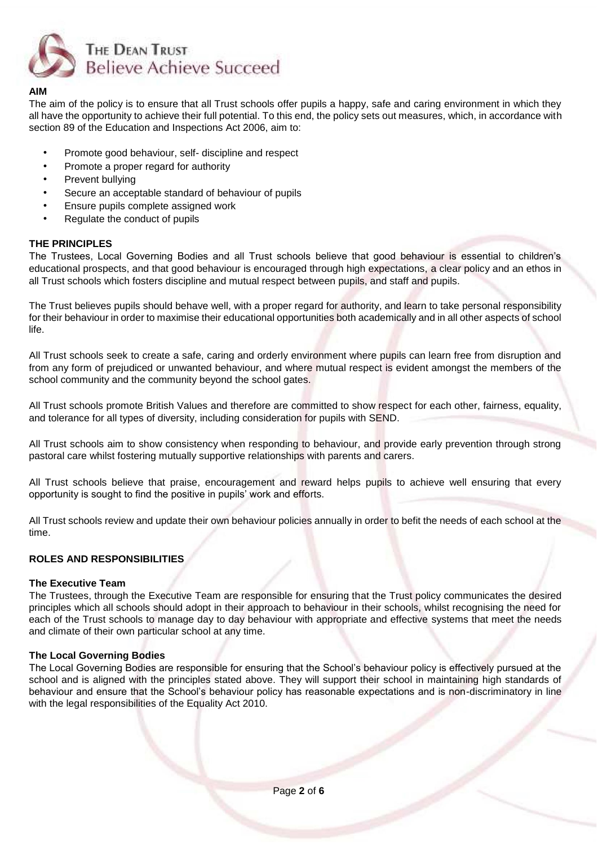

#### **AIM**

The aim of the policy is to ensure that all Trust schools offer pupils a happy, safe and caring environment in which they all have the opportunity to achieve their full potential. To this end, the policy sets out measures, which, in accordance with section 89 of the Education and Inspections Act 2006, aim to:

- Promote good behaviour, self- discipline and respect
- Promote a proper regard for authority
- Prevent bullying
- Secure an acceptable standard of behaviour of pupils
- Ensure pupils complete assigned work
- Regulate the conduct of pupils

# **THE PRINCIPLES**

The Trustees, Local Governing Bodies and all Trust schools believe that good behaviour is essential to children's educational prospects, and that good behaviour is encouraged through high expectations, a clear policy and an ethos in all Trust schools which fosters discipline and mutual respect between pupils, and staff and pupils.

The Trust believes pupils should behave well, with a proper regard for authority, and learn to take personal responsibility for their behaviour in order to maximise their educational opportunities both academically and in all other aspects of school life.

All Trust schools seek to create a safe, caring and orderly environment where pupils can learn free from disruption and from any form of prejudiced or unwanted behaviour, and where mutual respect is evident amongst the members of the school community and the community beyond the school gates.

All Trust schools promote British Values and therefore are committed to show respect for each other, fairness, equality, and tolerance for all types of diversity, including consideration for pupils with SEND.

All Trust schools aim to show consistency when responding to behaviour, and provide early prevention through strong pastoral care whilst fostering mutually supportive relationships with parents and carers.

All Trust schools believe that praise, encouragement and reward helps pupils to achieve well ensuring that every opportunity is sought to find the positive in pupils' work and efforts.

All Trust schools review and update their own behaviour policies annually in order to befit the needs of each school at the time.

# **ROLES AND RESPONSIBILITIES**

# **The Executive Team**

The Trustees, through the Executive Team are responsible for ensuring that the Trust policy communicates the desired principles which all schools should adopt in their approach to behaviour in their schools, whilst recognising the need for each of the Trust schools to manage day to day behaviour with appropriate and effective systems that meet the needs and climate of their own particular school at any time.

# **The Local Governing Bodies**

The Local Governing Bodies are responsible for ensuring that the School's behaviour policy is effectively pursued at the school and is aligned with the principles stated above. They will support their school in maintaining high standards of behaviour and ensure that the School's behaviour policy has reasonable expectations and is non-discriminatory in line with the legal responsibilities of the Equality Act 2010.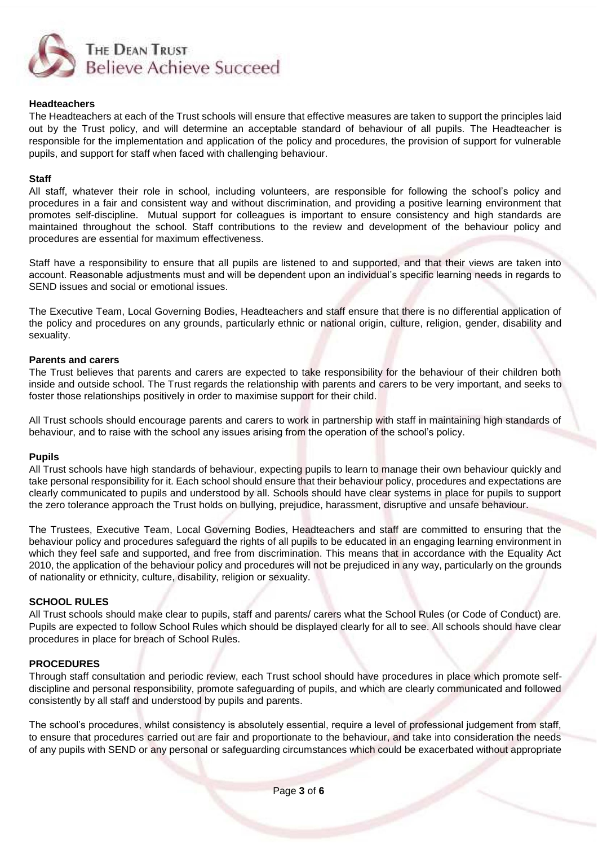

#### **Headteachers**

The Headteachers at each of the Trust schools will ensure that effective measures are taken to support the principles laid out by the Trust policy, and will determine an acceptable standard of behaviour of all pupils. The Headteacher is responsible for the implementation and application of the policy and procedures, the provision of support for vulnerable pupils, and support for staff when faced with challenging behaviour.

#### **Staff**

All staff, whatever their role in school, including volunteers, are responsible for following the school's policy and procedures in a fair and consistent way and without discrimination, and providing a positive learning environment that promotes self-discipline. Mutual support for colleagues is important to ensure consistency and high standards are maintained throughout the school. Staff contributions to the review and development of the behaviour policy and procedures are essential for maximum effectiveness.

Staff have a responsibility to ensure that all pupils are listened to and supported, and that their views are taken into account. Reasonable adjustments must and will be dependent upon an individual's specific learning needs in regards to SEND issues and social or emotional issues.

The Executive Team, Local Governing Bodies, Headteachers and staff ensure that there is no differential application of the policy and procedures on any grounds, particularly ethnic or national origin, culture, religion, gender, disability and sexuality.

#### **Parents and carers**

The Trust believes that parents and carers are expected to take responsibility for the behaviour of their children both inside and outside school. The Trust regards the relationship with parents and carers to be very important, and seeks to foster those relationships positively in order to maximise support for their child.

All Trust schools should encourage parents and carers to work in partnership with staff in maintaining high standards of behaviour, and to raise with the school any issues arising from the operation of the school's policy.

#### **Pupils**

All Trust schools have high standards of behaviour, expecting pupils to learn to manage their own behaviour quickly and take personal responsibility for it. Each school should ensure that their behaviour policy, procedures and expectations are clearly communicated to pupils and understood by all. Schools should have clear systems in place for pupils to support the zero tolerance approach the Trust holds on bullying, prejudice, harassment, disruptive and unsafe behaviour.

The Trustees, Executive Team, Local Governing Bodies, Headteachers and staff are committed to ensuring that the behaviour policy and procedures safeguard the rights of all pupils to be educated in an engaging learning environment in which they feel safe and supported, and free from discrimination. This means that in accordance with the Equality Act 2010, the application of the behaviour policy and procedures will not be prejudiced in any way, particularly on the grounds of nationality or ethnicity, culture, disability, religion or sexuality.

#### **SCHOOL RULES**

All Trust schools should make clear to pupils, staff and parents/ carers what the School Rules (or Code of Conduct) are. Pupils are expected to follow School Rules which should be displayed clearly for all to see. All schools should have clear procedures in place for breach of School Rules.

# **PROCEDURES**

Through staff consultation and periodic review, each Trust school should have procedures in place which promote selfdiscipline and personal responsibility, promote safeguarding of pupils, and which are clearly communicated and followed consistently by all staff and understood by pupils and parents.

The school's procedures, whilst consistency is absolutely essential, require a level of professional judgement from staff, to ensure that procedures carried out are fair and proportionate to the behaviour, and take into consideration the needs of any pupils with SEND or any personal or safeguarding circumstances which could be exacerbated without appropriate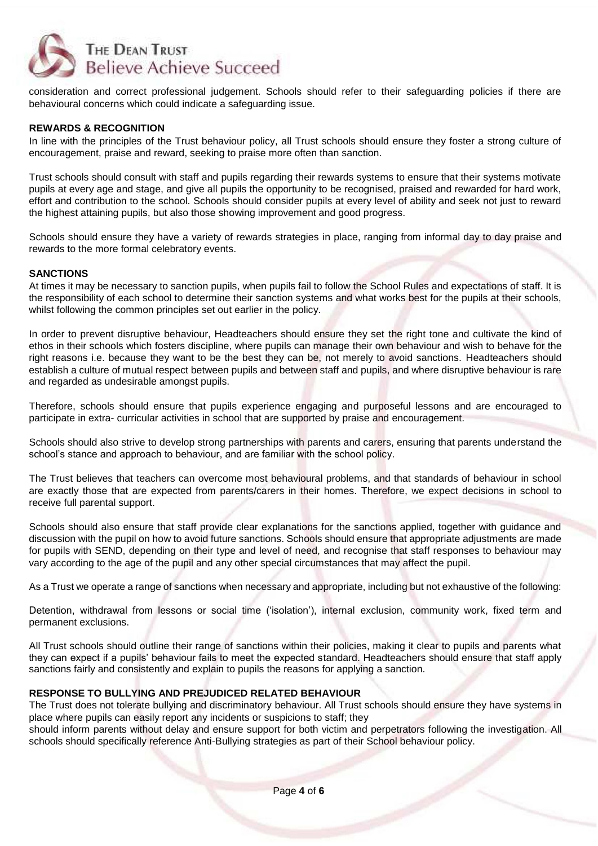

consideration and correct professional judgement. Schools should refer to their safeguarding policies if there are behavioural concerns which could indicate a safeguarding issue.

### **REWARDS & RECOGNITION**

In line with the principles of the Trust behaviour policy, all Trust schools should ensure they foster a strong culture of encouragement, praise and reward, seeking to praise more often than sanction.

Trust schools should consult with staff and pupils regarding their rewards systems to ensure that their systems motivate pupils at every age and stage, and give all pupils the opportunity to be recognised, praised and rewarded for hard work, effort and contribution to the school. Schools should consider pupils at every level of ability and seek not just to reward the highest attaining pupils, but also those showing improvement and good progress.

Schools should ensure they have a variety of rewards strategies in place, ranging from informal day to day praise and rewards to the more formal celebratory events.

#### **SANCTIONS**

At times it may be necessary to sanction pupils, when pupils fail to follow the School Rules and expectations of staff. It is the responsibility of each school to determine their sanction systems and what works best for the pupils at their schools, whilst following the common principles set out earlier in the policy.

In order to prevent disruptive behaviour, Headteachers should ensure they set the right tone and cultivate the kind of ethos in their schools which fosters discipline, where pupils can manage their own behaviour and wish to behave for the right reasons i.e. because they want to be the best they can be, not merely to avoid sanctions. Headteachers should establish a culture of mutual respect between pupils and between staff and pupils, and where disruptive behaviour is rare and regarded as undesirable amongst pupils.

Therefore, schools should ensure that pupils experience engaging and purposeful lessons and are encouraged to participate in extra- curricular activities in school that are supported by praise and encouragement.

Schools should also strive to develop strong partnerships with parents and carers, ensuring that parents understand the school's stance and approach to behaviour, and are familiar with the school policy.

The Trust believes that teachers can overcome most behavioural problems, and that standards of behaviour in school are exactly those that are expected from parents/carers in their homes. Therefore, we expect decisions in school to receive full parental support.

Schools should also ensure that staff provide clear explanations for the sanctions applied, together with guidance and discussion with the pupil on how to avoid future sanctions. Schools should ensure that appropriate adjustments are made for pupils with SEND, depending on their type and level of need, and recognise that staff responses to behaviour may vary according to the age of the pupil and any other special circumstances that may affect the pupil.

As a Trust we operate a range of sanctions when necessary and appropriate, including but not exhaustive of the following:

Detention, withdrawal from lessons or social time ('isolation'), internal exclusion, community work, fixed term and permanent exclusions.

All Trust schools should outline their range of sanctions within their policies, making it clear to pupils and parents what they can expect if a pupils' behaviour fails to meet the expected standard. Headteachers should ensure that staff apply sanctions fairly and consistently and explain to pupils the reasons for applying a sanction.

#### **RESPONSE TO BULLYING AND PREJUDICED RELATED BEHAVIOUR**

The Trust does not tolerate bullying and discriminatory behaviour. All Trust schools should ensure they have systems in place where pupils can easily report any incidents or suspicions to staff; they

should inform parents without delay and ensure support for both victim and perpetrators following the investigation. All schools should specifically reference Anti-Bullying strategies as part of their School behaviour policy.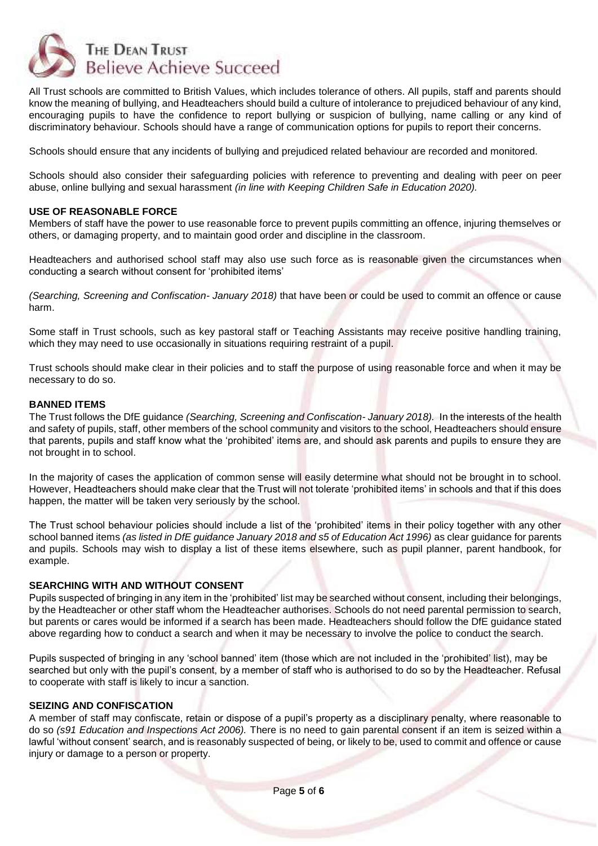

All Trust schools are committed to British Values, which includes tolerance of others. All pupils, staff and parents should know the meaning of bullying, and Headteachers should build a culture of intolerance to prejudiced behaviour of any kind, encouraging pupils to have the confidence to report bullying or suspicion of bullying, name calling or any kind of discriminatory behaviour. Schools should have a range of communication options for pupils to report their concerns.

Schools should ensure that any incidents of bullying and prejudiced related behaviour are recorded and monitored.

Schools should also consider their safeguarding policies with reference to preventing and dealing with peer on peer abuse, online bullying and sexual harassment *(in line with Keeping Children Safe in Education 2020).*

#### **USE OF REASONABLE FORCE**

Members of staff have the power to use reasonable force to prevent pupils committing an offence, injuring themselves or others, or damaging property, and to maintain good order and discipline in the classroom.

Headteachers and authorised school staff may also use such force as is reasonable given the circumstances when conducting a search without consent for 'prohibited items'

*(Searching, Screening and Confiscation- January 2018)* that have been or could be used to commit an offence or cause harm.

Some staff in Trust schools, such as key pastoral staff or Teaching Assistants may receive positive handling training, which they may need to use occasionally in situations requiring restraint of a pupil.

Trust schools should make clear in their policies and to staff the purpose of using reasonable force and when it may be necessary to do so.

#### **BANNED ITEMS**

The Trust follows the DfE guidance *(Searching, Screening and Confiscation- January 2018).* In the interests of the health and safety of pupils, staff, other members of the school community and visitors to the school, Headteachers should ensure that parents, pupils and staff know what the 'prohibited' items are, and should ask parents and pupils to ensure they are not brought in to school.

In the majority of cases the application of common sense will easily determine what should not be brought in to school. However, Headteachers should make clear that the Trust will not tolerate 'prohibited items' in schools and that if this does happen, the matter will be taken very seriously by the school.

The Trust school behaviour policies should include a list of the 'prohibited' items in their policy together with any other school banned items *(as listed in DfE quidance January 2018 and s5 of Education Act 1996)* as clear guidance for parents and pupils. Schools may wish to display a list of these items elsewhere, such as pupil planner, parent handbook, for example.

# **SEARCHING WITH AND WITHOUT CONSENT**

Pupils suspected of bringing in any item in the 'prohibited' list may be searched without consent, including their belongings, by the Headteacher or other staff whom the Headteacher authorises. Schools do not need parental permission to search, but parents or cares would be informed if a search has been made. Headteachers should follow the DfE guidance stated above regarding how to conduct a search and when it may be necessary to involve the police to conduct the search.

Pupils suspected of bringing in any 'school banned' item (those which are not included in the 'prohibited' list), may be searched but only with the pupil's consent, by a member of staff who is authorised to do so by the Headteacher. Refusal to cooperate with staff is likely to incur a sanction.

#### **SEIZING AND CONFISCATION**

A member of staff may confiscate, retain or dispose of a pupil's property as a disciplinary penalty, where reasonable to do so *(s91 Education and Inspections Act 2006).* There is no need to gain parental consent if an item is seized within a lawful 'without consent' search, and is reasonably suspected of being, or likely to be, used to commit and offence or cause injury or damage to a person or property.